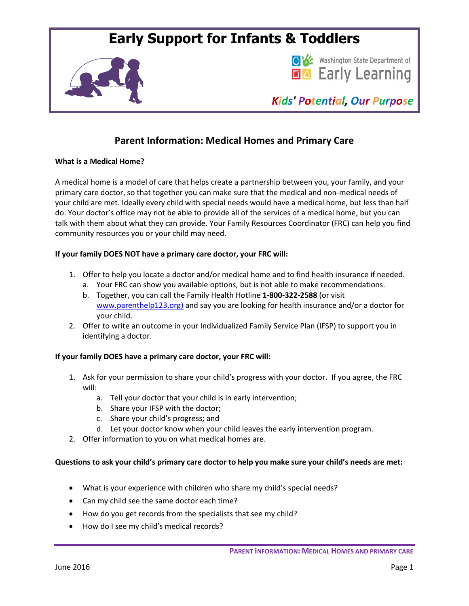# **Early Support for Infants & Toddlers**





*Kids' Potential, Our Purpose*

# **Parent Information: Medical Homes and Primary Care**

# **What is a Medical Home?**

A medical home is a model of care that helps create a partnership between you, your family, and your primary care doctor, so that together you can make sure that the medical and non-medical needs of your child are met. Ideally every child with special needs would have a medical home, but less than half do. Your doctor's office may not be able to provide all of the services of a medical home, but you can talk with them about what they can provide. Your Family Resources Coordinator (FRC) can help you find community resources you or your child may need.

# **If your family DOES NOT have a primary care doctor, your FRC will:**

- 1. Offer to help you locate a doctor and/or medical home and to find health insurance if needed.
	- a. Your FRC can show you available options, but is not able to make recommendations.
	- b. Together, you can call the Family Health Hotline **1-800-322-2588** (or visit [www.parenthelp123.org\)](http://www.parenthelp123.org/) and say you are looking for health insurance and/or a doctor for your child.
- 2. Offer to write an outcome in your Individualized Family Service Plan (IFSP) to support you in identifying a doctor.

# **If your family DOES have a primary care doctor, your FRC will:**

- 1. Ask for your permission to share your child's progress with your doctor. If you agree, the FRC will:
	- a. Tell your doctor that your child is in early intervention;
	- b. Share your IFSP with the doctor;
	- c. Share your child's progress; and
	- d. Let your doctor know when your child leaves the early intervention program.
- 2. Offer information to you on what medical homes are.

# **Questions to ask your child's primary care doctor to help you make sure your child's needs are met:**

- What is your experience with children who share my child's special needs?
- Can my child see the same doctor each time?
- How do you get records from the specialists that see my child?
- How do I see my child's medical records?